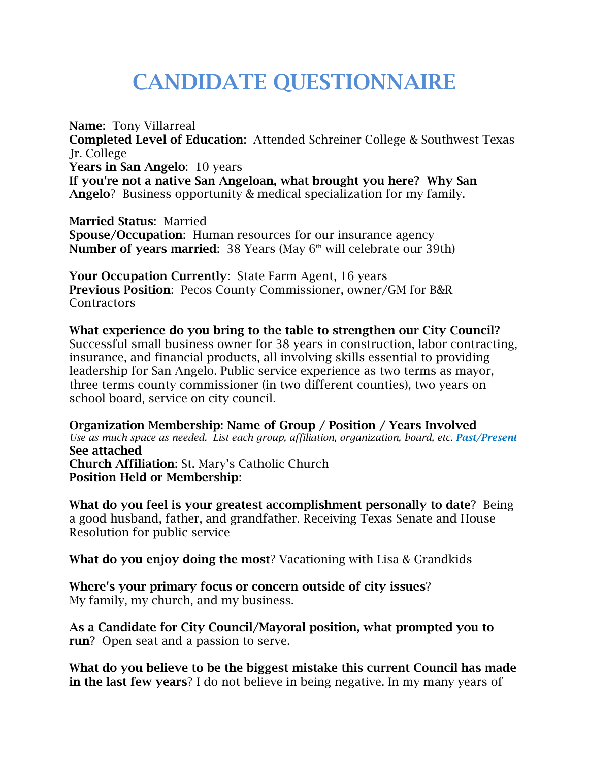## **CANDIDATE QUESTIONNAIRE**

**Name**: Tony Villarreal **Completed Level of Education**: Attended Schreiner College & Southwest Texas Jr. College **Years in San Angelo**: 10 years **If you're not a native San Angeloan, what brought you here? Why San Angelo**? Business opportunity & medical specialization for my family.

**Married Status**: Married **Spouse/Occupation**: Human resources for our insurance agency **Number of years married:** 38 Years (May 6<sup>th</sup> will celebrate our 39th)

**Your Occupation Currently**: State Farm Agent, 16 years **Previous Position**: Pecos County Commissioner, owner/GM for B&R **Contractors** 

**What experience do you bring to the table to strengthen our City Council?**  Successful small business owner for 38 years in construction, labor contracting, insurance, and financial products, all involving skills essential to providing leadership for San Angelo. Public service experience as two terms as mayor, three terms county commissioner (in two different counties), two years on school board, service on city council.

**Organization Membership: Name of Group / Position / Years Involved**  *Use as much space as needed. List each group, affiliation, organization, board, etc. Past/Present* **See attached Church Affiliation**: St. Mary's Catholic Church **Position Held or Membership**:

**What do you feel is your greatest accomplishment personally to date**? Being a good husband, father, and grandfather. Receiving Texas Senate and House Resolution for public service

**What do you enjoy doing the most**? Vacationing with Lisa & Grandkids

**Where's your primary focus or concern outside of city issues**? My family, my church, and my business.

**As a Candidate for City Council/Mayoral position, what prompted you to run**? Open seat and a passion to serve.

**What do you believe to be the biggest mistake this current Council has made in the last few years**? I do not believe in being negative. In my many years of